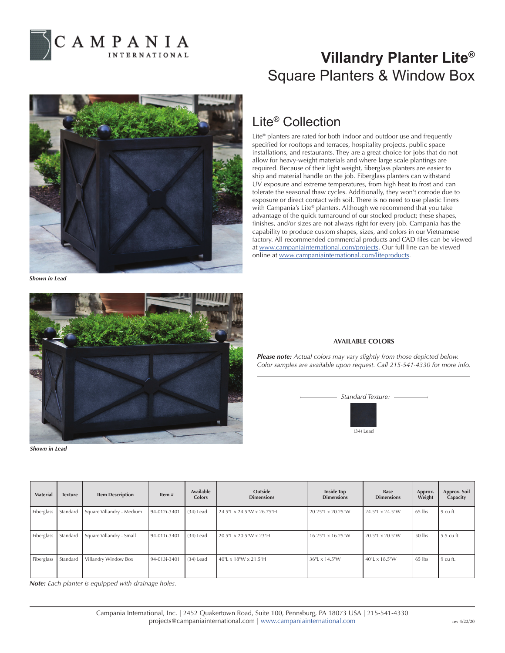

## **Villandry Planter Lite®** Square Planters & Window Box



*Shown in Lead*



*Shown in Lead*

## Lite® Collection

Lite® planters are rated for both indoor and outdoor use and frequently specified for rooftops and terraces, hospitality projects, public space installations, and restaurants. They are a great choice for jobs that do not allow for heavy-weight materials and where large scale plantings are required. Because of their light weight, fiberglass planters are easier to ship and material handle on the job. Fiberglass planters can withstand UV exposure and extreme temperatures, from high heat to frost and can tolerate the seasonal thaw cycles. Additionally, they won't corrode due to exposure or direct contact with soil. There is no need to use plastic liners with Campania's Lite® planters. Although we recommend that you take advantage of the quick turnaround of our stocked product; these shapes, finishes, and/or sizes are not always right for every job. Campania has the capability to produce custom shapes, sizes, and colors in our Vietnamese factory. All recommended commercial products and CAD files can be viewed at www.campaniainternational.com/projects. Our full line can be viewed online at www.campaniainternational.com/liteproducts.

## **AVAILABLE COLORS**

*Please note: Actual colors may vary slightly from those depicted below. Color samples are available upon request. Call 215-541-4330 for more info.*



| <b>Material</b> | <b>Texture</b> | <b>Item Description</b>   | Item $#$     | Available<br><b>Colors</b> | Outside<br><b>Dimensions</b> | <b>Inside Top</b><br><b>Dimensions</b> | Base<br><b>Dimensions</b> | Approx.<br>Weight | Approx. Soil<br>Capacity |
|-----------------|----------------|---------------------------|--------------|----------------------------|------------------------------|----------------------------------------|---------------------------|-------------------|--------------------------|
| Fiberglass      | Standard       | Square Villandry - Medium | 94-012i-3401 | $(34)$ Lead                | 24.5"L x 24.5"W x 26.75"H    | 20.25"L x 20.25"W                      | 24.5"L x 24.5"W           | $65$ lbs          | $9 \text{ cu ft.}$       |
| Fiberglass      | Standard       | Square Villandry - Small  | 94-011i-3401 | $(34)$ Lead                | 20.5"L x 20.5"W x 23"H       | 16.25"L x 16.25"W                      | $20.5$ "L x 20.5"W        | 50 lbs            | 5.5 cu ft.               |
| Fiberglass      | Standard       | Villandry Window Box      | 94-013i-3401 | $(34)$ Lead                | 40"L x 18"W x 21.5"H         | 36"L x 14.5"W                          | 40"L x 18.5"W             | $65$ lbs          | $9 \text{ cu ft.}$       |

*Note: Each planter is equipped with drainage holes.*